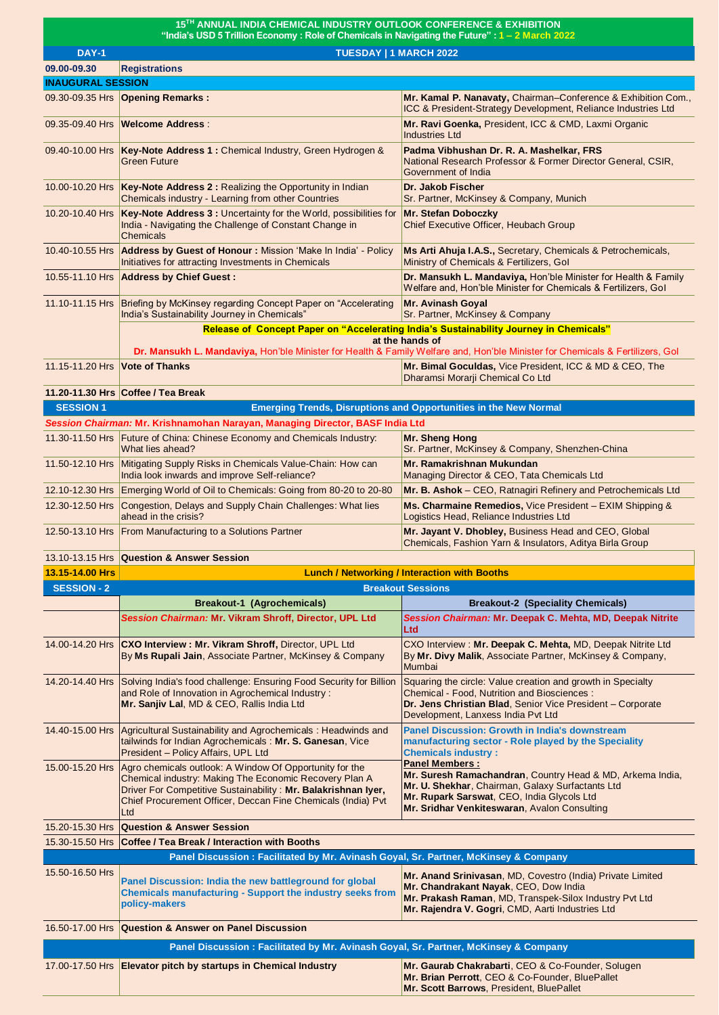| 15TH ANNUAL INDIA CHEMICAL INDUSTRY OUTLOOK CONFERENCE & EXHIBITION<br>"India's USD 5 Trillion Economy: Role of Chemicals in Navigating the Future": 1 - 2 March 2022 |                                                                                                                                                                                                                                                           |                                                                                                                                                                                                                                      |  |  |
|-----------------------------------------------------------------------------------------------------------------------------------------------------------------------|-----------------------------------------------------------------------------------------------------------------------------------------------------------------------------------------------------------------------------------------------------------|--------------------------------------------------------------------------------------------------------------------------------------------------------------------------------------------------------------------------------------|--|--|
| <b>DAY-1</b>                                                                                                                                                          | TUESDAY   1 MARCH 2022                                                                                                                                                                                                                                    |                                                                                                                                                                                                                                      |  |  |
| 09.00-09.30                                                                                                                                                           | <b>Registrations</b>                                                                                                                                                                                                                                      |                                                                                                                                                                                                                                      |  |  |
| <b>INAUGURAL SESSION</b>                                                                                                                                              |                                                                                                                                                                                                                                                           |                                                                                                                                                                                                                                      |  |  |
|                                                                                                                                                                       | 09.30-09.35 Hrs <b>Opening Remarks:</b>                                                                                                                                                                                                                   | Mr. Kamal P. Nanavaty, Chairman-Conference & Exhibition Com.,<br>ICC & President-Strategy Development, Reliance Industries Ltd                                                                                                       |  |  |
| 09.35-09.40 Hrs                                                                                                                                                       | <b>Welcome Address:</b>                                                                                                                                                                                                                                   | Mr. Ravi Goenka, President, ICC & CMD, Laxmi Organic<br><b>Industries Ltd</b>                                                                                                                                                        |  |  |
| 09.40-10.00 Hrs                                                                                                                                                       | Key-Note Address 1: Chemical Industry, Green Hydrogen &<br>Green Future                                                                                                                                                                                   | Padma Vibhushan Dr. R. A. Mashelkar, FRS<br>National Research Professor & Former Director General, CSIR,<br>Government of India                                                                                                      |  |  |
|                                                                                                                                                                       | 10.00-10.20 Hrs Key-Note Address 2 : Realizing the Opportunity in Indian<br>Chemicals industry - Learning from other Countries                                                                                                                            | Dr. Jakob Fischer<br>Sr. Partner, McKinsey & Company, Munich                                                                                                                                                                         |  |  |
|                                                                                                                                                                       | 10.20-10.40 Hrs Key-Note Address 3 : Uncertainty for the World, possibilities for<br>India - Navigating the Challenge of Constant Change in<br><b>Chemicals</b>                                                                                           | Mr. Stefan Doboczky<br>Chief Executive Officer, Heubach Group                                                                                                                                                                        |  |  |
|                                                                                                                                                                       | 10.40-10.55 Hrs Address by Guest of Honour: Mission 'Make In India' - Policy<br>Initiatives for attracting Investments in Chemicals                                                                                                                       | Ms Arti Ahuja I.A.S., Secretary, Chemicals & Petrochemicals,<br>Ministry of Chemicals & Fertilizers, Gol                                                                                                                             |  |  |
| 10.55-11.10 Hrs                                                                                                                                                       | <b>Address by Chief Guest:</b>                                                                                                                                                                                                                            | Dr. Mansukh L. Mandaviya, Hon'ble Minister for Health & Family<br>Welfare and, Hon'ble Minister for Chemicals & Fertilizers, Gol                                                                                                     |  |  |
| 11.10-11.15 Hrs                                                                                                                                                       | Briefing by McKinsey regarding Concept Paper on "Accelerating"<br>India's Sustainability Journey in Chemicals"                                                                                                                                            | Mr. Avinash Goyal<br>Sr. Partner, McKinsey & Company                                                                                                                                                                                 |  |  |
|                                                                                                                                                                       |                                                                                                                                                                                                                                                           | Release of Concept Paper on "Accelerating India's Sustainability Journey in Chemicals"                                                                                                                                               |  |  |
|                                                                                                                                                                       |                                                                                                                                                                                                                                                           | at the hands of                                                                                                                                                                                                                      |  |  |
| 11.15-11.20 Hrs                                                                                                                                                       | <b>Vote of Thanks</b>                                                                                                                                                                                                                                     | Dr. Mansukh L. Mandaviya, Hon'ble Minister for Health & Family Welfare and, Hon'ble Minister for Chemicals & Fertilizers, Gol<br>Mr. Bimal Goculdas, Vice President, ICC & MD & CEO, The                                             |  |  |
|                                                                                                                                                                       |                                                                                                                                                                                                                                                           | Dharamsi Morarji Chemical Co Ltd                                                                                                                                                                                                     |  |  |
|                                                                                                                                                                       | 11.20-11.30 Hrs Coffee / Tea Break                                                                                                                                                                                                                        |                                                                                                                                                                                                                                      |  |  |
| <b>SESSION 1</b>                                                                                                                                                      |                                                                                                                                                                                                                                                           | Emerging Trends, Disruptions and Opportunities in the New Normal                                                                                                                                                                     |  |  |
|                                                                                                                                                                       | Session Chairman: Mr. Krishnamohan Narayan, Managing Director, BASF India Ltd                                                                                                                                                                             |                                                                                                                                                                                                                                      |  |  |
|                                                                                                                                                                       | 11.30-11.50 Hrs Future of China: Chinese Economy and Chemicals Industry:<br>What lies ahead?                                                                                                                                                              | Mr. Sheng Hong<br>Sr. Partner, McKinsey & Company, Shenzhen-China                                                                                                                                                                    |  |  |
|                                                                                                                                                                       | 11.50-12.10 Hrs Mitigating Supply Risks in Chemicals Value-Chain: How can<br>India look inwards and improve Self-reliance?                                                                                                                                | Mr. Ramakrishnan Mukundan<br>Managing Director & CEO, Tata Chemicals Ltd                                                                                                                                                             |  |  |
|                                                                                                                                                                       | 12.10-12.30 Hrs Emerging World of Oil to Chemicals: Going from 80-20 to 20-80                                                                                                                                                                             | Mr. B. Ashok - CEO, Ratnagiri Refinery and Petrochemicals Ltd                                                                                                                                                                        |  |  |
|                                                                                                                                                                       | 12.30-12.50 Hrs Congestion, Delays and Supply Chain Challenges: What lies<br>ahead in the crisis?                                                                                                                                                         | Ms. Charmaine Remedios, Vice President - EXIM Shipping &<br>Logistics Head, Reliance Industries Ltd                                                                                                                                  |  |  |
|                                                                                                                                                                       | 12.50-13.10 Hrs   From Manufacturing to a Solutions Partner                                                                                                                                                                                               | Mr. Jayant V. Dhobley, Business Head and CEO, Global<br>Chemicals, Fashion Yarn & Insulators, Aditya Birla Group                                                                                                                     |  |  |
|                                                                                                                                                                       | 13.10-13.15 Hrs Question & Answer Session                                                                                                                                                                                                                 |                                                                                                                                                                                                                                      |  |  |
| 13.15-14.00 Hrs                                                                                                                                                       |                                                                                                                                                                                                                                                           | <b>Lunch / Networking / Interaction with Booths</b>                                                                                                                                                                                  |  |  |
| <b>SESSION - 2</b>                                                                                                                                                    |                                                                                                                                                                                                                                                           | <b>Breakout Sessions</b>                                                                                                                                                                                                             |  |  |
|                                                                                                                                                                       | <b>Breakout-1 (Agrochemicals)</b>                                                                                                                                                                                                                         | <b>Breakout-2 (Speciality Chemicals)</b>                                                                                                                                                                                             |  |  |
|                                                                                                                                                                       | Session Chairman: Mr. Vikram Shroff, Director, UPL Ltd                                                                                                                                                                                                    | Session Chairman: Mr. Deepak C. Mehta, MD, Deepak Nitrite<br>Ltd                                                                                                                                                                     |  |  |
|                                                                                                                                                                       | 14.00-14.20 Hrs CXO Interview: Mr. Vikram Shroff, Director, UPL Ltd<br>By Ms Rupali Jain, Associate Partner, McKinsey & Company                                                                                                                           | CXO Interview : Mr. Deepak C. Mehta, MD, Deepak Nitrite Ltd<br>By Mr. Divy Malik, Associate Partner, McKinsey & Company,<br>Mumbai                                                                                                   |  |  |
|                                                                                                                                                                       | 14.20-14.40 Hrs Solving India's food challenge: Ensuring Food Security for Billion<br>and Role of Innovation in Agrochemical Industry:<br>Mr. Sanjiv Lal, MD & CEO, Rallis India Ltd                                                                      | Squaring the circle: Value creation and growth in Specialty<br>Chemical - Food, Nutrition and Biosciences:<br>Dr. Jens Christian Blad, Senior Vice President - Corporate<br>Development, Lanxess India Pvt Ltd                       |  |  |
| 14.40-15.00 Hrs                                                                                                                                                       | Agricultural Sustainability and Agrochemicals: Headwinds and<br>tailwinds for Indian Agrochemicals: Mr. S. Ganesan, Vice<br>President - Policy Affairs, UPL Ltd                                                                                           | <b>Panel Discussion: Growth in India's downstream</b><br>manufacturing sector - Role played by the Speciality<br><b>Chemicals industry:</b>                                                                                          |  |  |
| 15.00-15.20 Hrs                                                                                                                                                       | Agro chemicals outlook: A Window Of Opportunity for the<br>Chemical industry: Making The Economic Recovery Plan A<br>Driver For Competitive Sustainability: Mr. Balakrishnan lyer,<br>Chief Procurement Officer, Deccan Fine Chemicals (India) Pvt<br>Ltd | <b>Panel Members:</b><br>Mr. Suresh Ramachandran, Country Head & MD, Arkema India,<br>Mr. U. Shekhar, Chairman, Galaxy Surfactants Ltd<br>Mr. Rupark Sarswat, CEO, India Glycols Ltd<br>Mr. Sridhar Venkiteswaran, Avalon Consulting |  |  |
| 15.20-15.30 Hrs                                                                                                                                                       | <b>Question &amp; Answer Session</b>                                                                                                                                                                                                                      |                                                                                                                                                                                                                                      |  |  |
| 15.30-15.50 Hrs                                                                                                                                                       | <b>Coffee / Tea Break / Interaction with Booths</b>                                                                                                                                                                                                       |                                                                                                                                                                                                                                      |  |  |
|                                                                                                                                                                       | Panel Discussion: Facilitated by Mr. Avinash Goyal, Sr. Partner, McKinsey & Company                                                                                                                                                                       |                                                                                                                                                                                                                                      |  |  |
| 15.50-16.50 Hrs                                                                                                                                                       | Panel Discussion: India the new battleground for global<br>Chemicals manufacturing - Support the industry seeks from<br>policy-makers                                                                                                                     | Mr. Anand Srinivasan, MD, Covestro (India) Private Limited<br>Mr. Chandrakant Nayak, CEO, Dow India<br>Mr. Prakash Raman, MD, Transpek-Silox Industry Pvt Ltd<br>Mr. Rajendra V. Gogri, CMD, Aarti Industries Ltd                    |  |  |
|                                                                                                                                                                       | 16.50-17.00 Hrs Question & Answer on Panel Discussion                                                                                                                                                                                                     |                                                                                                                                                                                                                                      |  |  |
|                                                                                                                                                                       | Panel Discussion: Facilitated by Mr. Avinash Goyal, Sr. Partner, McKinsey & Company                                                                                                                                                                       |                                                                                                                                                                                                                                      |  |  |
| 17.00-17.50 Hrs                                                                                                                                                       | <b>Elevator pitch by startups in Chemical Industry</b>                                                                                                                                                                                                    | Mr. Gaurab Chakrabarti, CEO & Co-Founder, Solugen                                                                                                                                                                                    |  |  |

**Mr. Brian Perrott**, CEO & Co-Founder, BluePallet

**Mr. Scott Barrows**, President, BluePallet